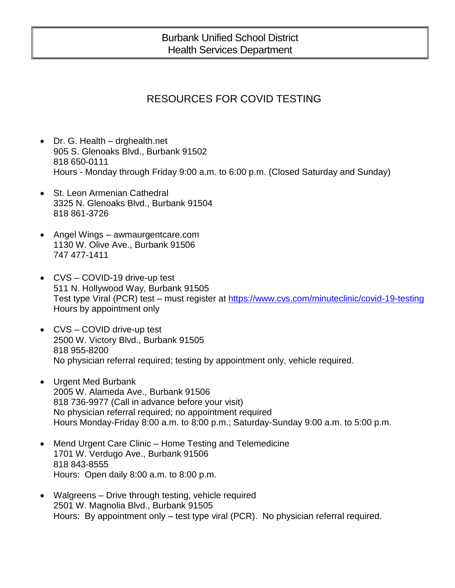## Burbank Unified School District Health Services Department

## RESOURCES FOR COVID TESTING

- Dr. G. Health drghealth.net 905 S. Glenoaks Blvd., Burbank 91502 818 650-0111 Hours - Monday through Friday 9:00 a.m. to 6:00 p.m. (Closed Saturday and Sunday)
- St. Leon Armenian Cathedral 3325 N. Glenoaks Blvd., Burbank 91504 818 861-3726
- Angel Wings awmaurgentcare.com 1130 W. Olive Ave., Burbank 91506 747 477-1411
- CVS COVID-19 drive-up test 511 N. Hollywood Way, Burbank 91505 Test type Viral (PCR) test – must register at<https://www.cvs.com/minuteclinic/covid-19-testing> Hours by appointment only
- CVS COVID drive-up test 2500 W. Victory Blvd., Burbank 91505 818 955-8200 No physician referral required; testing by appointment only, vehicle required.
- Urgent Med Burbank 2005 W. Alameda Ave., Burbank 91506 818 736-9977 (Call in advance before your visit) No physician referral required; no appointment required Hours Monday-Friday 8:00 a.m. to 8:00 p.m.; Saturday-Sunday 9:00 a.m. to 5:00 p.m.
- Mend Urgent Care Clinic Home Testing and Telemedicine 1701 W. Verdugo Ave., Burbank 91506 818 843-8555 Hours: Open daily 8:00 a.m. to 8:00 p.m.
- Walgreens Drive through testing, vehicle required 2501 W. Magnolia Blvd., Burbank 91505 Hours: By appointment only – test type viral (PCR). No physician referral required.